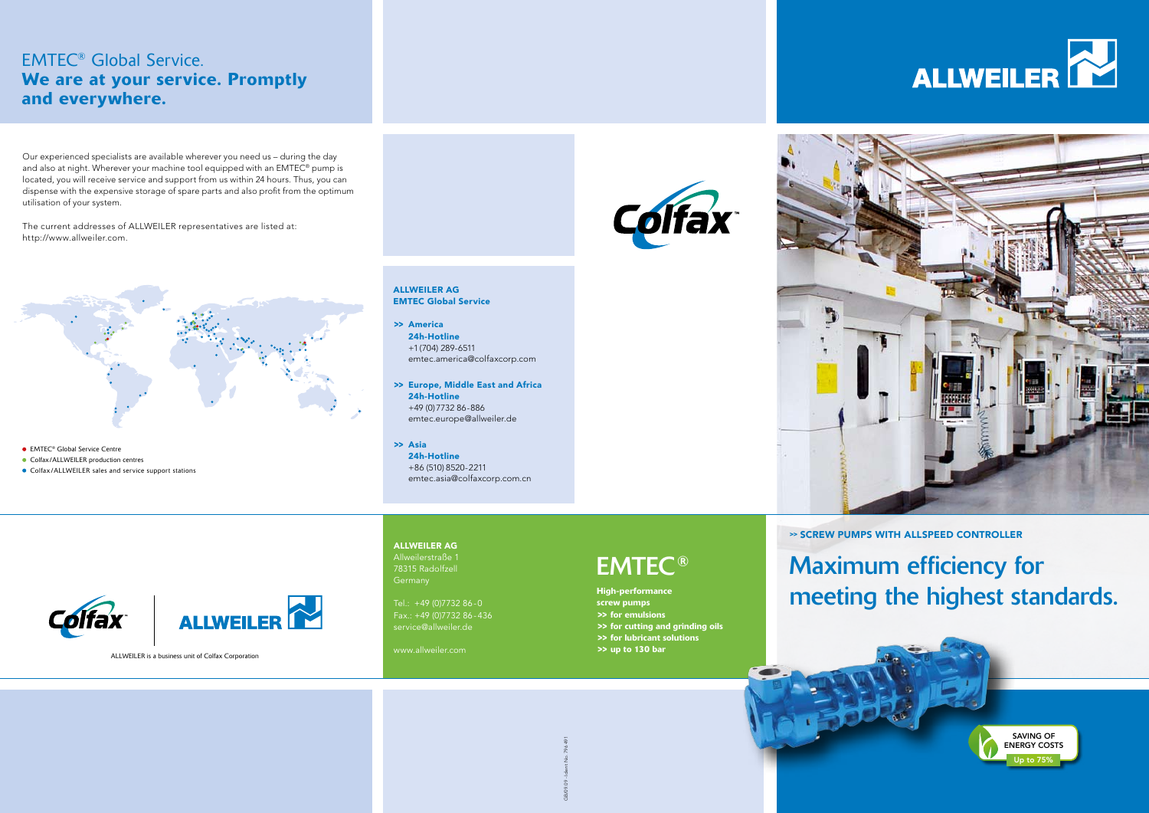# Maximum efficiency for meeting the highest standards.





>> SCREW PUMPS WITH ALLSPEED CONTROLLER

High-performance screw pumps >> for emulsions >> for cutting and grinding oils >> for lubricant solutions >> up to 130 bar



## EMTEC ®

#### ALLWEILER AG

- **Colfax/ALLWEILER production centres**
- Colfax/ALLWEILER sales and service support stations

Allweilerstraße 1 78315 Radolfzell

Tel.: +49 (0)7732 86-0 Fax.: +49 (0)7732 86-436 service@allweiler.de

www.allweiler.com

# ALLWEILER AG

EMTEC Global Service

- >> America 24h-Hotline +1 (704) 289-6511 emtec.america@colfaxcorp.com
- >> Europe, Middle East and Africa 24h-Hotline +49 (0)7732 86-886 emtec.europe@allweiler.de
- >> Asia 24h-Hotline +86 (510) 8520-2211 emtec.asia@colfaxcorp.com.cn



### EMTEC® Global Service. We are at your service. Promptly and everywhere.

Our experienced specialists are available wherever you need us – during the day and also at night. Wherever your machine tool equipped with an EMTEC® pump is located, you will receive service and support from us within 24 hours. Thus, you can dispense with the expensive storage of spare parts and also profit from the optimum utilisation of your system.

The current addresses of ALLWEILER representatives are listed at: http://www.allweiler.com.



**• EMTEC<sup>®</sup> Global Service Centre** 

ALLWEILER is a business unit of Colfax Corporation



GB/09.09 - Ident No. 796 491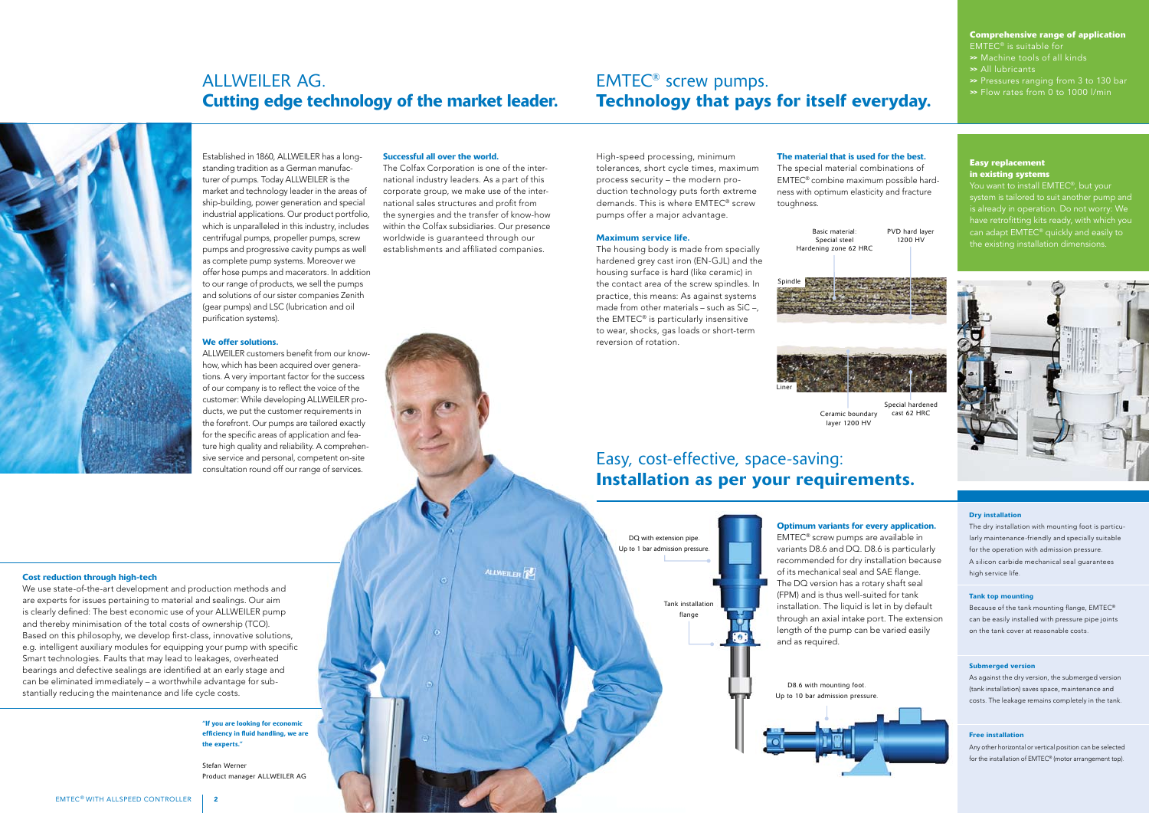Established in 1860, ALLWEILER has a longstanding tradition as a German manufacturer of pumps. Today ALLWEILER is the market and technology leader in the areas of ship-building, power generation and special industrial applications. Our product portfolio, which is unparalleled in this industry, includes centrifugal pumps, propeller pumps, screw pumps and progressive cavity pumps as well as complete pump systems. Moreover we offer hose pumps and macerators. In addition to our range of products, we sell the pumps and solutions of our sister companies Zenith (gear pumps) and LSC (lubrication and oil purification systems).

#### We offer solutions.

ALLWEILER customers benefit from our knowhow, which has been acquired over generations. A very important factor for the success of our company is to reflect the voice of the customer: While developing ALLWEILER products, we put the customer requirements in the forefront. Our pumps are tailored exactly for the specific areas of application and feature high quality and reliability. A comprehensive service and personal, competent on-site consultation round off our range of services.

#### Successful all over the world.

The Colfax Corporation is one of the international industry leaders. As a part of this corporate group, we make use of the international sales structures and profit from the synergies and the transfer of know-how within the Colfax subsidiaries. Our presence worldwide is guaranteed through our establishments and affiliated companies.

ALLWEILED FR

### ALLWEILER AG. Cutting edge technology of the market leader.

### EMTEC® screw pumps. Technology that pays for itself everyday.



#### Cost reduction through high-tech

"If you are looking for econo efficiency in fluid handling, we are the experts."

We use state-of-the-art development and production methods and are experts for issues pertaining to material and sealings. Our aim is clearly defined: The best economic use of your ALLWEILER pump and thereby minimisation of the total costs of ownership (TCO). Based on this philosophy, we develop first-class, innovative solutions, e.g. intelligent auxiliary modules for equipping your pump with specific Smart technologies. Faults that may lead to leakages, overheated bearings and defective sealings are identified at an early stage and can be eliminated immediately – a worthwhile advantage for substantially reducing the maintenance and life cycle costs.

You want to install EMTEC<sup>®</sup>, but your system is tailored to suit another pump and is already in operation. Do not worry: We have retrofitting kits ready, with which you can adapt EMTEC® quickly and easily to



The dry installation with mounting foot is particularly maintenance-friendly and specially suitable for the operation with admission pressure. A silicon carbide mechanical seal guarantees high service life.

High-speed processing, minimum tolerances, short cycle times, maximum process security – the modern production technology puts forth extreme demands. This is where EMTEC® screw pumps offer a major advantage.

#### Maximum service life.

The housing body is made from specially hardened grey cast iron (EN-GJL) and the housing surface is hard (like ceramic) in the contact area of the screw spindles. In practice, this means: As against systems made from other materials – such as SiC –, the EMTEC® is particularly insensitive to wear, shocks, gas loads or short-term reversion of rotation.



#### The material that is used for the best.

The special material combinations of EMTEC® combine maximum possible hardness with optimum elasticity and fracture toughness.

#### Optimum variants for every application.

EMTEC® screw pumps are available in variants D8.6 and DQ. D8.6 is particularly recommended for dry installation because of its mechanical seal and SAE flange. The DQ version has a rotary shaft seal (FPM) and is thus well-suited for tank installation. The liquid is let in by default through an axial intake port. The extension length of the pump can be varied easily and as required.

Stefan Werner Product manager ALLWEILER AG

### **Comprehensive range of application**

EMTEC® is suitable for >> Machine tools of all kinds >> All lubricants >> Pressures ranging from 3 to 130 bar

>> Flow rates from 0 to 1000 l/min

#### **Easy replacement in existing systems**

#### Dry installation

#### Tank top mounting

Because of the tank mounting flange, EMTEC® can be easily installed with pressure pipe joints on the tank cover at reasonable costs.

#### Submerged version

As against the dry version, the submerged version (tank installation) saves space, maintenance and costs. The leakage remains completely in the tank.

#### Free installation

Any other horizontal or vertical position can be selected for the installation of EMTEC® (motor arrangement top).







Basic material: Special steel Hardening zone 62 HRC



### Easy, cost-effective, space-saving: Installation as per your requirements.



Special hardened Ceramic boundary cast 62 HRC

layer 1200 HV

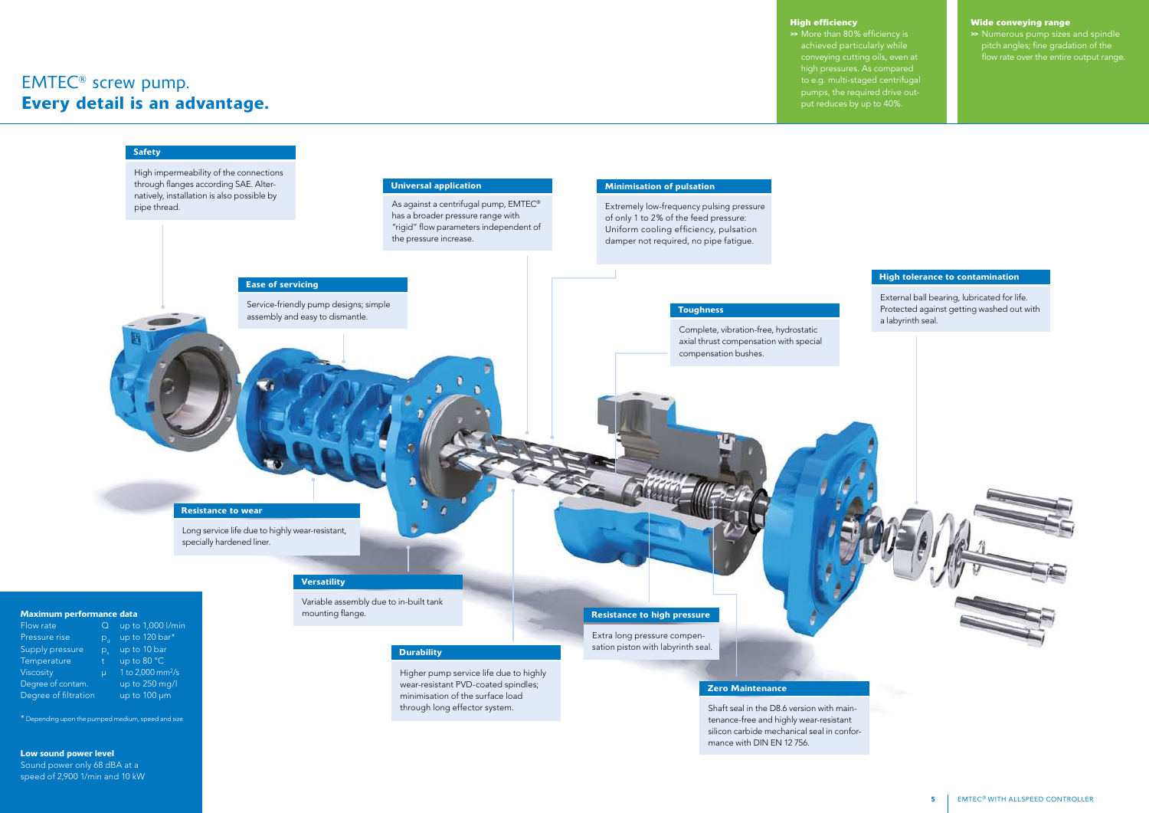#### High tolerance to contamination

External ball bearing, lubricated for life. Protected against getting washed out with a labyrinth seal.



Shaft seal in the D8.6 version with maintenance-free and highly wear-resistant silicon carbide mechanical seal in conformance with DIN EN 12 756.

>> More than 80% efficiency is achieved particularly while conveying cutting oils, even at high pressures. As compared to e.g. multi-staged centrifugal

### EMTEC® screw pump. Every detail is an advantage.

#### **Wide conveying range**

>> Numerous pump sizes and spindle pitch angles; fine gradation of the flow rate over the entire output range.

#### **High efficiency**

#### Ease of servicing Resistance to wear Service-friendly pump designs; simple assembly and easy to dismantle. Long service life due to highly wear-resistant, specially hardened liner. Universal application As against a centrifugal pump, EMTEC® has a broader pressure range with "rigid" flow parameters independent of the pressure increase. Zero Maintenance Minimisation of pulsation Extremely low-frequency pulsing pressure of only 1 to 2% of the feed pressure: Uniform cooling efficiency, pulsation damper not required, no pipe fatigue. Maximum performance data Flow rate Q up to 1,000 l/min Pressure rise  $p_d$  up to 120 bar\*<br>Supply pressure  $p_a$  up to 10 bar Supply pressure  $p_s$  up to 10 bar<br>Temperature t up to 80 °C Temperature Viscosity  $\mu$  1 to 2,000 mm<sup>2</sup>/s Degree of contam. up to 250 mg/l Degree of filtration up to 100 um **Versatility Toughness** Complete, vibration-free, hydrostatic axial thrust compensation with special compensation bushes. Resistance to high pressure Extra long pressure compensation piston with labyrinth seal. Variable assembly due to in-built tank mounting flange. High impermeability of the connections through flanges according SAE. Alternatively, installation is also possible by pipe thread. **Safety Durability** Higher pump service life due to highly wear-resistant PVD-coated spindles; minimisation of the surface load

pumps, the required drive out-

put reduces by up to 40%.

\* Depending upon the pumped medium, speed and size

### Low sound power level

Sound power only 68 dBA at a speed of 2,900 1/min and 10 kW through long effector system.